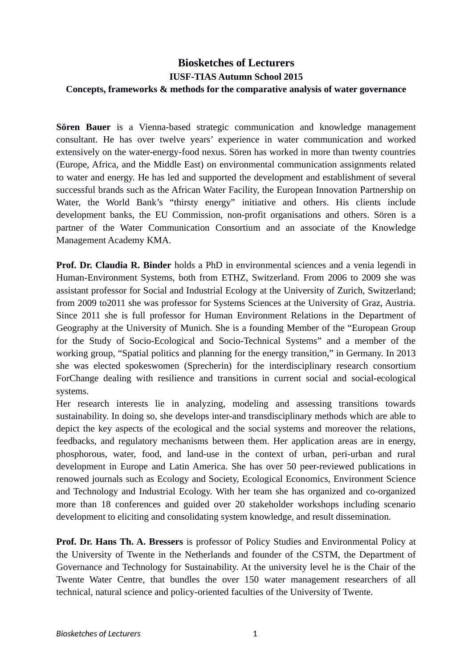## **Biosketches of Lecturers IUSF-TIAS Autumn School 2015 Concepts, frameworks & methods for the comparative analysis of water governance**

**Sören Bauer** is a Vienna-based strategic communication and knowledge management consultant. He has over twelve years' experience in water communication and worked extensively on the water-energy-food nexus. Sören has worked in more than twenty countries (Europe, Africa, and the Middle East) on environmental communication assignments related to water and energy. He has led and supported the development and establishment of several successful brands such as the African Water Facility, the European Innovation Partnership on Water, the World Bank's "thirsty energy" initiative and others. His clients include development banks, the EU Commission, non-profit organisations and others. Sören is a partner of the Water Communication Consortium and an associate of the Knowledge Management Academy KMA.

**Prof. Dr. Claudia R. Binder** holds a PhD in environmental sciences and a venia legendi in Human-Environment Systems, both from ETHZ, Switzerland. From 2006 to 2009 she was assistant professor for Social and Industrial Ecology at the University of Zurich, Switzerland; from 2009 to2011 she was professor for Systems Sciences at the University of Graz, Austria. Since 2011 she is full professor for Human Environment Relations in the Department of Geography at the University of Munich. She is a founding Member of the "European Group for the Study of Socio-Ecological and Socio-Technical Systems" and a member of the working group, "Spatial politics and planning for the energy transition," in Germany. In 2013 she was elected spokeswomen (Sprecherin) for the interdisciplinary research consortium ForChange dealing with resilience and transitions in current social and social-ecological systems.

Her research interests lie in analyzing, modeling and assessing transitions towards sustainability. In doing so, she develops inter-and transdisciplinary methods which are able to depict the key aspects of the ecological and the social systems and moreover the relations, feedbacks, and regulatory mechanisms between them. Her application areas are in energy, phosphorous, water, food, and land-use in the context of urban, peri-urban and rural development in Europe and Latin America. She has over 50 peer-reviewed publications in renowed journals such as Ecology and Society, Ecological Economics, Environment Science and Technology and Industrial Ecology. With her team she has organized and co-organized more than 18 conferences and guided over 20 stakeholder workshops including scenario development to eliciting and consolidating system knowledge, and result dissemination.

**Prof. Dr. Hans Th. A. Bressers** is professor of Policy Studies and Environmental Policy at the University of Twente in the Netherlands and founder of the CSTM, the Department of Governance and Technology for Sustainability. At the university level he is the Chair of the Twente Water Centre, that bundles the over 150 water management researchers of all technical, natural science and policy-oriented faculties of the University of Twente.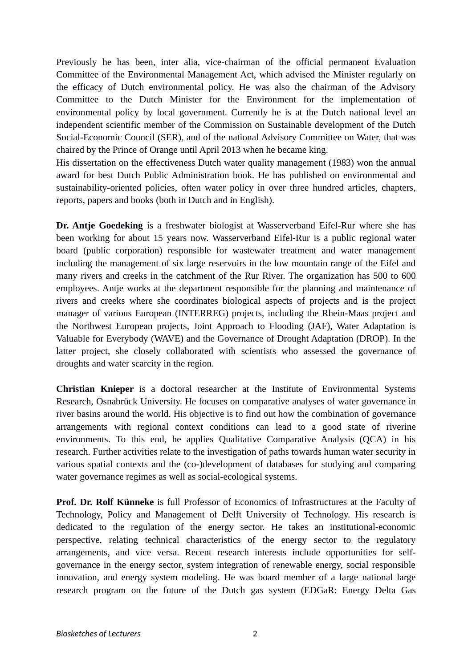Previously he has been, inter alia, vice-chairman of the official permanent Evaluation Committee of the Environmental Management Act, which advised the Minister regularly on the efficacy of Dutch environmental policy. He was also the chairman of the Advisory Committee to the Dutch Minister for the Environment for the implementation of environmental policy by local government. Currently he is at the Dutch national level an independent scientific member of the Commission on Sustainable development of the Dutch Social-Economic Council (SER), and of the national Advisory Committee on Water, that was chaired by the Prince of Orange until April 2013 when he became king.

His dissertation on the effectiveness Dutch water quality management (1983) won the annual award for best Dutch Public Administration book. He has published on environmental and sustainability-oriented policies, often water policy in over three hundred articles, chapters, reports, papers and books (both in Dutch and in English).

**Dr. Antje Goedeking** is a freshwater biologist at Wasserverband Eifel-Rur where she has been working for about 15 years now. Wasserverband Eifel-Rur is a public regional water board (public corporation) responsible for wastewater treatment and water management including the management of six large reservoirs in the low mountain range of the Eifel and many rivers and creeks in the catchment of the Rur River. The organization has 500 to 600 employees. Antje works at the department responsible for the planning and maintenance of rivers and creeks where she coordinates biological aspects of projects and is the project manager of various European (INTERREG) projects, including the Rhein-Maas project and the Northwest European projects, Joint Approach to Flooding (JAF), Water Adaptation is Valuable for Everybody (WAVE) and the Governance of Drought Adaptation (DROP). In the latter project, she closely collaborated with scientists who assessed the governance of droughts and water scarcity in the region.

**Christian Knieper** is a doctoral researcher at the Institute of Environmental Systems Research, Osnabrück University. He focuses on comparative analyses of water governance in river basins around the world. His objective is to find out how the combination of governance arrangements with regional context conditions can lead to a good state of riverine environments. To this end, he applies Qualitative Comparative Analysis (QCA) in his research. Further activities relate to the investigation of paths towards human water security in various spatial contexts and the (co-)development of databases for studying and comparing water governance regimes as well as social-ecological systems.

**Prof. Dr. Rolf Künneke** is full Professor of Economics of Infrastructures at the Faculty of Technology, Policy and Management of Delft University of Technology. His research is dedicated to the regulation of the energy sector. He takes an institutional-economic perspective, relating technical characteristics of the energy sector to the regulatory arrangements, and vice versa. Recent research interests include opportunities for selfgovernance in the energy sector, system integration of renewable energy, social responsible innovation, and energy system modeling. He was board member of a large national large research program on the future of the Dutch gas system (EDGaR: Energy Delta Gas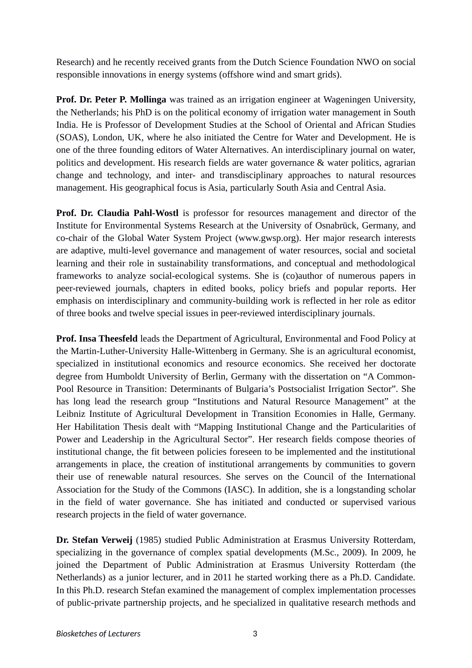Research) and he recently received grants from the Dutch Science Foundation NWO on social responsible innovations in energy systems (offshore wind and smart grids).

**Prof. Dr. Peter P. Mollinga** was trained as an irrigation engineer at Wageningen University, the Netherlands; his PhD is on the political economy of irrigation water management in South India. He is Professor of Development Studies at the School of Oriental and African Studies (SOAS), London, UK, where he also initiated the Centre for Water and Development. He is one of the three founding editors of Water Alternatives. An interdisciplinary journal on water, politics and development. His research fields are water governance & water politics, agrarian change and technology, and inter- and transdisciplinary approaches to natural resources management. His geographical focus is Asia, particularly South Asia and Central Asia.

**Prof. Dr. Claudia Pahl-Wostl** is professor for resources management and director of the Institute for Environmental Systems Research at the University of Osnabrück, Germany, and co-chair of the Global Water System Project (www.gwsp.org). Her major research interests are adaptive, multi-level governance and management of water resources, social and societal learning and their role in sustainability transformations, and conceptual and methodological frameworks to analyze social-ecological systems. She is (co)author of numerous papers in peer-reviewed journals, chapters in edited books, policy briefs and popular reports. Her emphasis on interdisciplinary and community-building work is reflected in her role as editor of three books and twelve special issues in peer-reviewed interdisciplinary journals.

**Prof. Insa Theesfeld** leads the Department of Agricultural, Environmental and Food Policy at the Martin-Luther-University Halle-Wittenberg in Germany. She is an agricultural economist, specialized in institutional economics and resource economics. She received her doctorate degree from Humboldt University of Berlin, Germany with the dissertation on "A Common-Pool Resource in Transition: Determinants of Bulgaria's Postsocialist Irrigation Sector". She has long lead the research group "Institutions and Natural Resource Management" at the Leibniz Institute of Agricultural Development in Transition Economies in Halle, Germany. Her Habilitation Thesis dealt with "Mapping Institutional Change and the Particularities of Power and Leadership in the Agricultural Sector". Her research fields compose theories of institutional change, the fit between policies foreseen to be implemented and the institutional arrangements in place, the creation of institutional arrangements by communities to govern their use of renewable natural resources. She serves on the Council of the International Association for the Study of the Commons (IASC). In addition, she is a longstanding scholar in the field of water governance. She has initiated and conducted or supervised various research projects in the field of water governance.

**Dr. Stefan Verweij** (1985) studied Public Administration at Erasmus University Rotterdam, specializing in the governance of complex spatial developments (M.Sc., 2009). In 2009, he joined the Department of Public Administration at Erasmus University Rotterdam (the Netherlands) as a junior lecturer, and in 2011 he started working there as a Ph.D. Candidate. In this Ph.D. research Stefan examined the management of complex implementation processes of public-private partnership projects, and he specialized in qualitative research methods and